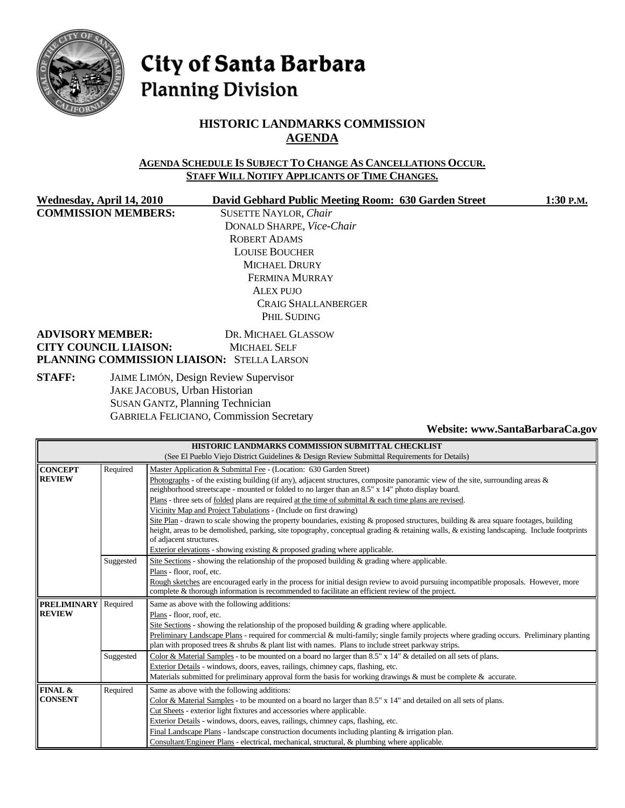

# City of Santa Barbara **Planning Division**

# **HISTORIC LANDMARKS COMMISSION AGENDA**

#### **AGENDA SCHEDULE IS SUBJECT TO CHANGE AS CANCELLATIONS OCCUR. STAFF WILL NOTIFY APPLICANTS OF TIME CHANGES.**

**COMMISSION MEMBERS:** SUSETTE NAYLOR, *Chair*

**Wednesday, April 14, 2010 David Gebhard Public Meeting Room: 630 Garden Street 1:30 P.M.**

DONALD SHARPE, *Vice-Chair* ROBERT ADAMS LOUISE BOUCHER MICHAEL DRURY FERMINA MURRAY ALEX PUJO CRAIG SHALLANBERGER PHIL SUDING

#### **ADVISORY MEMBER:** DR. MICHAEL GLASSOW **CITY COUNCIL LIAISON:** MICHAEL SELF **PLANNING COMMISSION LIAISON:** STELLA LARSON

**STAFF:** JAIME LIMÓN, Design Review Supervisor JAKE JACOBUS, Urban Historian SUSAN GANTZ, Planning Technician GABRIELA FELICIANO, Commission Secretary

**Website: www.SantaBarbaraCa.gov** 

| HISTORIC LANDMARKS COMMISSION SUBMITTAL CHECKLIST                                            |                                                                                                                                                                                                                                                                                                                                                           |                                                                                                                                             |  |  |  |  |
|----------------------------------------------------------------------------------------------|-----------------------------------------------------------------------------------------------------------------------------------------------------------------------------------------------------------------------------------------------------------------------------------------------------------------------------------------------------------|---------------------------------------------------------------------------------------------------------------------------------------------|--|--|--|--|
| (See El Pueblo Viejo District Guidelines & Design Review Submittal Requirements for Details) |                                                                                                                                                                                                                                                                                                                                                           |                                                                                                                                             |  |  |  |  |
| <b>CONCEPT</b>                                                                               | Required<br>Master Application & Submittal Fee - (Location: 630 Garden Street)                                                                                                                                                                                                                                                                            |                                                                                                                                             |  |  |  |  |
| <b>REVIEW</b>                                                                                | Photographs - of the existing building (if any), adjacent structures, composite panoramic view of the site, surrounding areas &<br>neighborhood streetscape - mounted or folded to no larger than an 8.5" x 14" photo display board.<br>Plans - three sets of <u>folded</u> plans are required at the time of submittal $\&$ each time plans are revised. |                                                                                                                                             |  |  |  |  |
|                                                                                              |                                                                                                                                                                                                                                                                                                                                                           |                                                                                                                                             |  |  |  |  |
|                                                                                              |                                                                                                                                                                                                                                                                                                                                                           |                                                                                                                                             |  |  |  |  |
|                                                                                              |                                                                                                                                                                                                                                                                                                                                                           | Vicinity Map and Project Tabulations - (Include on first drawing)                                                                           |  |  |  |  |
|                                                                                              |                                                                                                                                                                                                                                                                                                                                                           | Site Plan - drawn to scale showing the property boundaries, existing $\&$ proposed structures, building $\&$ area square footages, building |  |  |  |  |
|                                                                                              |                                                                                                                                                                                                                                                                                                                                                           | height, areas to be demolished, parking, site topography, conceptual grading & retaining walls, & existing landscaping. Include footprints  |  |  |  |  |
|                                                                                              |                                                                                                                                                                                                                                                                                                                                                           | of adjacent structures.                                                                                                                     |  |  |  |  |
| Exterior elevations - showing existing $\&$ proposed grading where applicable.               |                                                                                                                                                                                                                                                                                                                                                           |                                                                                                                                             |  |  |  |  |
| Suggested                                                                                    |                                                                                                                                                                                                                                                                                                                                                           | Site Sections - showing the relationship of the proposed building $\&$ grading where applicable.                                            |  |  |  |  |
|                                                                                              |                                                                                                                                                                                                                                                                                                                                                           | Plans - floor, roof, etc.                                                                                                                   |  |  |  |  |
|                                                                                              |                                                                                                                                                                                                                                                                                                                                                           | Rough sketches are encouraged early in the process for initial design review to avoid pursuing incompatible proposals. However, more        |  |  |  |  |
|                                                                                              |                                                                                                                                                                                                                                                                                                                                                           | complete & thorough information is recommended to facilitate an efficient review of the project.                                            |  |  |  |  |
| <b>PRELIMINARY</b>                                                                           | Required<br>Same as above with the following additions:<br>Plans - floor, roof, etc.                                                                                                                                                                                                                                                                      |                                                                                                                                             |  |  |  |  |
| <b>REVIEW</b>                                                                                |                                                                                                                                                                                                                                                                                                                                                           |                                                                                                                                             |  |  |  |  |
|                                                                                              |                                                                                                                                                                                                                                                                                                                                                           | Site Sections - showing the relationship of the proposed building $\&$ grading where applicable.                                            |  |  |  |  |
|                                                                                              |                                                                                                                                                                                                                                                                                                                                                           | Preliminary Landscape Plans - required for commercial & multi-family; single family projects where grading occurs. Preliminary planting     |  |  |  |  |
|                                                                                              |                                                                                                                                                                                                                                                                                                                                                           | plan with proposed trees $\&$ shrubs $\&$ plant list with names. Plans to include street parkway strips.                                    |  |  |  |  |
|                                                                                              | Suggested                                                                                                                                                                                                                                                                                                                                                 | Color & Material Samples - to be mounted on a board no larger than 8.5" x 14" & detailed on all sets of plans.                              |  |  |  |  |
|                                                                                              |                                                                                                                                                                                                                                                                                                                                                           | Exterior Details - windows, doors, eaves, railings, chimney caps, flashing, etc.                                                            |  |  |  |  |
|                                                                                              |                                                                                                                                                                                                                                                                                                                                                           | Materials submitted for preliminary approval form the basis for working drawings & must be complete & accurate.                             |  |  |  |  |
| FINAL &                                                                                      | Required                                                                                                                                                                                                                                                                                                                                                  | Same as above with the following additions:                                                                                                 |  |  |  |  |
| <b>CONSENT</b>                                                                               |                                                                                                                                                                                                                                                                                                                                                           | Color & Material Samples - to be mounted on a board no larger than 8.5" x 14" and detailed on all sets of plans.                            |  |  |  |  |
|                                                                                              |                                                                                                                                                                                                                                                                                                                                                           | Cut Sheets - exterior light fixtures and accessories where applicable.                                                                      |  |  |  |  |
|                                                                                              |                                                                                                                                                                                                                                                                                                                                                           | Exterior Details - windows, doors, eaves, railings, chimney caps, flashing, etc.                                                            |  |  |  |  |
|                                                                                              |                                                                                                                                                                                                                                                                                                                                                           | Final Landscape Plans - landscape construction documents including planting $\&$ irrigation plan.                                           |  |  |  |  |
|                                                                                              |                                                                                                                                                                                                                                                                                                                                                           | Consultant/Engineer Plans - electrical, mechanical, structural, & plumbing where applicable.                                                |  |  |  |  |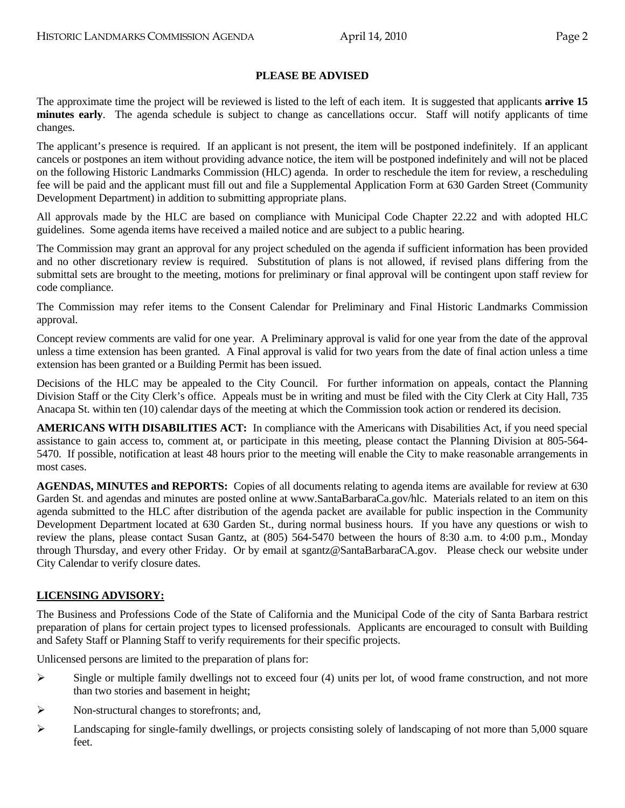### **PLEASE BE ADVISED**

The approximate time the project will be reviewed is listed to the left of each item. It is suggested that applicants **arrive 15 minutes early**. The agenda schedule is subject to change as cancellations occur. Staff will notify applicants of time changes.

The applicant's presence is required. If an applicant is not present, the item will be postponed indefinitely. If an applicant cancels or postpones an item without providing advance notice, the item will be postponed indefinitely and will not be placed on the following Historic Landmarks Commission (HLC) agenda. In order to reschedule the item for review, a rescheduling fee will be paid and the applicant must fill out and file a Supplemental Application Form at 630 Garden Street (Community Development Department) in addition to submitting appropriate plans.

All approvals made by the HLC are based on compliance with Municipal Code Chapter 22.22 and with adopted HLC guidelines. Some agenda items have received a mailed notice and are subject to a public hearing.

The Commission may grant an approval for any project scheduled on the agenda if sufficient information has been provided and no other discretionary review is required. Substitution of plans is not allowed, if revised plans differing from the submittal sets are brought to the meeting, motions for preliminary or final approval will be contingent upon staff review for code compliance.

The Commission may refer items to the Consent Calendar for Preliminary and Final Historic Landmarks Commission approval.

Concept review comments are valid for one year. A Preliminary approval is valid for one year from the date of the approval unless a time extension has been granted. A Final approval is valid for two years from the date of final action unless a time extension has been granted or a Building Permit has been issued.

Decisions of the HLC may be appealed to the City Council. For further information on appeals, contact the Planning Division Staff or the City Clerk's office. Appeals must be in writing and must be filed with the City Clerk at City Hall, 735 Anacapa St. within ten (10) calendar days of the meeting at which the Commission took action or rendered its decision.

**AMERICANS WITH DISABILITIES ACT:** In compliance with the Americans with Disabilities Act, if you need special assistance to gain access to, comment at, or participate in this meeting, please contact the Planning Division at 805-564- 5470. If possible, notification at least 48 hours prior to the meeting will enable the City to make reasonable arrangements in most cases.

**AGENDAS, MINUTES and REPORTS:** Copies of all documents relating to agenda items are available for review at 630 Garden St. and agendas and minutes are posted online at www.SantaBarbaraCa.gov/hlc. Materials related to an item on this agenda submitted to the HLC after distribution of the agenda packet are available for public inspection in the Community Development Department located at 630 Garden St., during normal business hours. If you have any questions or wish to review the plans, please contact Susan Gantz, at (805) 564-5470 between the hours of 8:30 a.m. to 4:00 p.m., Monday through Thursday, and every other Friday. Or by email at sgantz@SantaBarbaraCA.gov. Please check our website under City Calendar to verify closure dates.

#### **LICENSING ADVISORY:**

The Business and Professions Code of the State of California and the Municipal Code of the city of Santa Barbara restrict preparation of plans for certain project types to licensed professionals. Applicants are encouraged to consult with Building and Safety Staff or Planning Staff to verify requirements for their specific projects.

Unlicensed persons are limited to the preparation of plans for:

- $\triangleright$  Single or multiple family dwellings not to exceed four (4) units per lot, of wood frame construction, and not more than two stories and basement in height;
- ¾ Non-structural changes to storefronts; and,
- $\blacktriangleright$  Landscaping for single-family dwellings, or projects consisting solely of landscaping of not more than 5,000 square feet.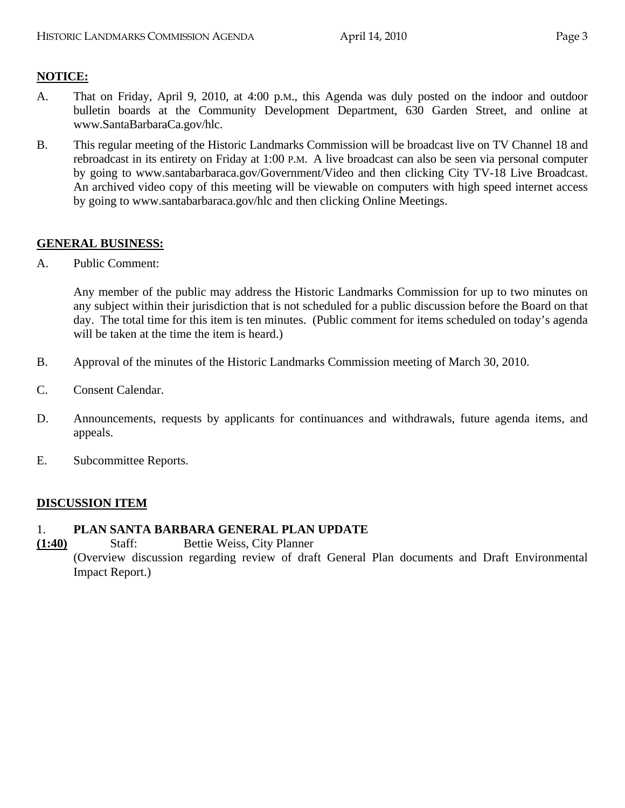## **NOTICE:**

- A. That on Friday, April 9, 2010, at 4:00 p.M., this Agenda was duly posted on the indoor and outdoor bulletin boards at the Community Development Department, 630 Garden Street, and online at www.SantaBarbaraCa.gov/hlc.
- B. This regular meeting of the Historic Landmarks Commission will be broadcast live on TV Channel 18 and rebroadcast in its entirety on Friday at 1:00 P.M. A live broadcast can also be seen via personal computer by going to www.santabarbaraca.gov/Government/Video and then clicking City TV-18 Live Broadcast. An archived video copy of this meeting will be viewable on computers with high speed internet access by going to www.santabarbaraca.gov/hlc and then clicking Online Meetings.

### **GENERAL BUSINESS:**

A. Public Comment:

Any member of the public may address the Historic Landmarks Commission for up to two minutes on any subject within their jurisdiction that is not scheduled for a public discussion before the Board on that day. The total time for this item is ten minutes. (Public comment for items scheduled on today's agenda will be taken at the time the item is heard.)

- B. Approval of the minutes of the Historic Landmarks Commission meeting of March 30, 2010.
- C. Consent Calendar.
- D. Announcements, requests by applicants for continuances and withdrawals, future agenda items, and appeals.
- E. Subcommittee Reports.

#### **DISCUSSION ITEM**

#### 1. **PLAN SANTA BARBARA GENERAL PLAN UPDATE**

**(1:40)** Staff: Bettie Weiss, City Planner (Overview discussion regarding review of draft General Plan documents and Draft Environmental Impact Report.)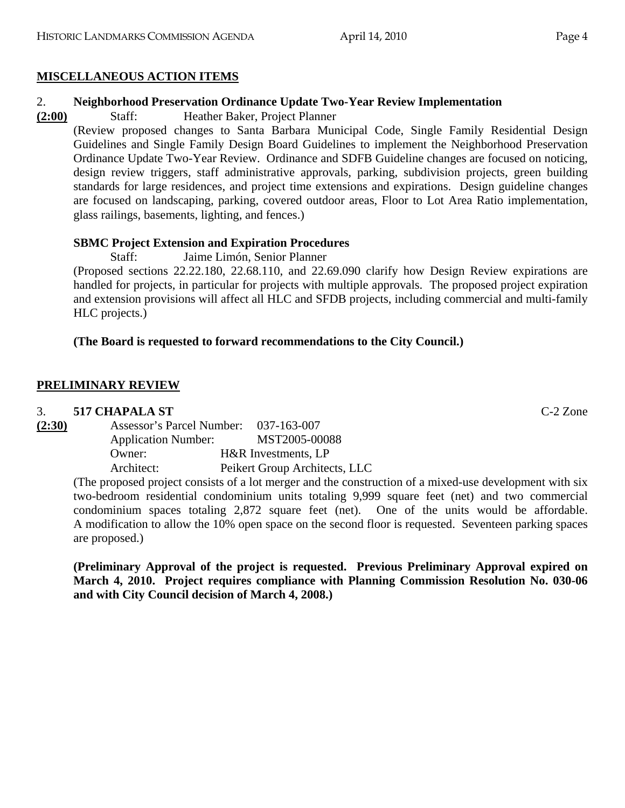# **MISCELLANEOUS ACTION ITEMS**

# 2. **Neighborhood Preservation Ordinance Update Two-Year Review Implementation**

**(2:00)** Staff: Heather Baker, Project Planner (Review proposed changes to Santa Barbara Municipal Code, Single Family Residential Design Guidelines and Single Family Design Board Guidelines to implement the Neighborhood Preservation Ordinance Update Two-Year Review. Ordinance and SDFB Guideline changes are focused on noticing, design review triggers, staff administrative approvals, parking, subdivision projects, green building standards for large residences, and project time extensions and expirations. Design guideline changes are focused on landscaping, parking, covered outdoor areas, Floor to Lot Area Ratio implementation, glass railings, basements, lighting, and fences.)

# **SBMC Project Extension and Expiration Procedures**

Staff: Jaime Limón, Senior Planner

(Proposed sections 22.22.180, 22.68.110, and 22.69.090 clarify how Design Review expirations are handled for projects, in particular for projects with multiple approvals. The proposed project expiration and extension provisions will affect all HLC and SFDB projects, including commercial and multi-family HLC projects.)

# **(The Board is requested to forward recommendations to the City Council.)**

# **PRELIMINARY REVIEW**

# 3. **517 CHAPALA ST** C-2 Zone

| (2:30) | Assessor's Parcel Number: 037-163-007 |                               |  |
|--------|---------------------------------------|-------------------------------|--|
|        | <b>Application Number:</b>            | MST2005-00088                 |  |
|        | Owner:                                | H&R Investments, LP           |  |
|        | Architect:                            | Peikert Group Architects, LLC |  |
|        |                                       |                               |  |

(The proposed project consists of a lot merger and the construction of a mixed-use development with six two-bedroom residential condominium units totaling 9,999 square feet (net) and two commercial condominium spaces totaling 2,872 square feet (net). One of the units would be affordable. A modification to allow the 10% open space on the second floor is requested. Seventeen parking spaces are proposed.)

**(Preliminary Approval of the project is requested. Previous Preliminary Approval expired on March 4, 2010. Project requires compliance with Planning Commission Resolution No. 030-06 and with City Council decision of March 4, 2008.)**